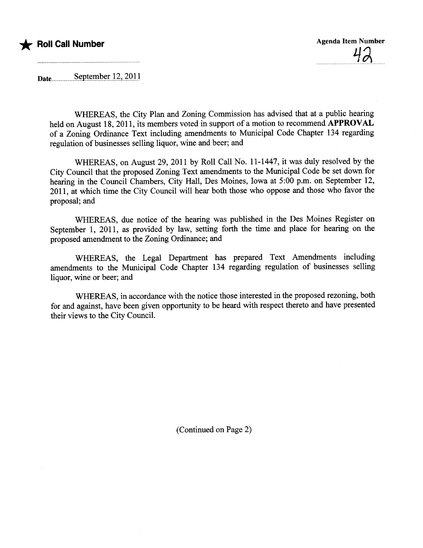

Date\_\_\_\_\_\_\_\_September 12, 2011

WHEREAS, the City Plan and Zoning Commission has advised that at a public hearing held on August 18, 2011, its members voted in support of a motion to recommend APPROVAL of a Zoning Ordinance Text including amendments to Municipal Code Chapter 134 regarding regulation of businesses selling liquor, wine and beer; and

WHEREAS, on August 29, 2011 by Roll Call No. 11-1447, it was dily resolved by the City Council that the proposed Zoning Text amendments to the Muncipal Code be set down for hearing in the Council Chambers, City Hall, Des Moines, Iowa at 5:00 p.m. on September 12, 2011, at which time the City Council wil hear both those who oppose and those who favor the proposal; and

WHEREAS, due notice of the hearing was published in the Des Moines Register on September 1, 2011, as provided by law, setting forth the time and place for hearing on the proposed amendment to the Zoning Ordinance; and

WHEREAS, the Legal Deparment has prepared Text Amendments including amendments to the Municipal Code Chapter 134 regarding regulation of businesses selling liquor, wine or beer; and

WHEREAS, in accordance with the notice those interested in the proposed rezoning, both for and against, have been given opportunity to be heard with respect thereto and have presented their views to the City CounciL.

(Continued on Page 2)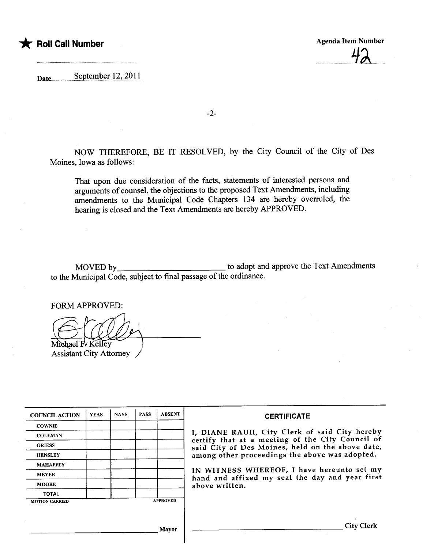

Dateu.....u.uuuuu.s~pt~1Pt.~rJ.7..,).QJ)

-2-

NOW THEREFORE, BE IT RESOLVED, by the City Council of the City of Des Moines, Iowa as follows:

That upon due consideration of the facts, statements of interested persons and arguents of counsel, the objections to the proposed Text Amendments, including amendments to the Municipal Code Chapters 134 are hereby overruled, the hearing is closed and the Text Amendments are hereby APPROVED.

MOVED by to adopt and approve the Text Amendments to the Municipal Code, subject to final passage of the ordinance.

FORM APPROVED:

Michael Fv Kelley

Assistant City Attorney

| <b>COUNCIL ACTION</b> | <b>YEAS</b> | <b>NAYS</b> | <b>PASS</b> | <b>ABSENT</b>   | <b>CERTIFICATE</b>                                                                                 |  |  |  |
|-----------------------|-------------|-------------|-------------|-----------------|----------------------------------------------------------------------------------------------------|--|--|--|
| <b>COWNIE</b>         |             |             |             |                 |                                                                                                    |  |  |  |
| <b>COLEMAN</b>        |             |             |             |                 | I, DIANE RAUH, City Clerk of said City hereby<br>certify that at a meeting of the City Council of  |  |  |  |
| <b>GRIESS</b>         |             |             |             |                 | said City of Des Moines, held on the above date,<br>among other proceedings the above was adopted. |  |  |  |
| <b>HENSLEY</b>        |             |             |             |                 |                                                                                                    |  |  |  |
| <b>MAHAFFEY</b>       |             |             |             |                 |                                                                                                    |  |  |  |
| <b>MEYER</b>          |             |             |             |                 | IN WITNESS WHEREOF, I have hereunto set my<br>hand and affixed my seal the day and year first      |  |  |  |
| <b>MOORE</b>          |             |             |             |                 | above written.                                                                                     |  |  |  |
| <b>TOTAL</b>          |             |             |             |                 |                                                                                                    |  |  |  |
| <b>MOTION CARRIED</b> |             |             |             | <b>APPROVED</b> |                                                                                                    |  |  |  |
|                       |             |             |             |                 |                                                                                                    |  |  |  |
| <b>Mayor</b>          |             |             |             |                 | <b>City Clerk</b>                                                                                  |  |  |  |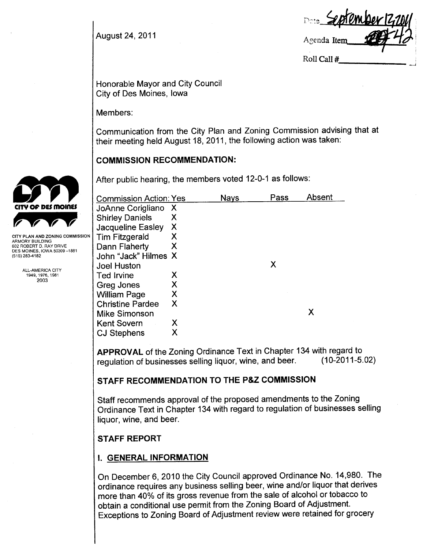August 24, 2011

Agenda Item Roll Call #

Honorable Mayor and City Council City of Des Moines, Iowa

Members:

Communication from the City Plan and Zoning Commission advising that at their meeting held August 18, 2011, the following action was taken:

## COMMISSION RECOMMENDATION:

After public hearing, the members voted 12-0-1 as follows:

| <b>Commission Action: Yes</b> |                           | Nays | Pass | Absent |
|-------------------------------|---------------------------|------|------|--------|
| JoAnne Corigliano             | $\boldsymbol{\mathsf{X}}$ |      |      |        |
| <b>Shirley Daniels</b>        | X                         |      |      |        |
| <b>Jacqueline Easley</b>      | X                         |      |      |        |
| Tim Fitzgerald                | Х                         |      |      |        |
| Dann Flaherty                 | Х                         |      |      |        |
| John "Jack" Hilmes X          |                           |      |      |        |
| <b>Joel Huston</b>            |                           |      | Х    |        |
| Ted Irvine                    | X                         |      |      |        |
| Greg Jones                    | Х                         |      |      |        |
| <b>William Page</b>           | Х                         |      |      |        |
| <b>Christine Pardee</b>       | Χ                         |      |      |        |
| <b>Mike Simonson</b>          |                           |      |      | Χ      |
| <b>Kent Sovern</b>            | Х                         |      |      |        |
| <b>CJ Stephens</b>            | х                         |      |      |        |

APPROVAL of the Zoning Ordinance Text in Chapter 134 with regard to<br>requisition of businesses selling liquor wine, and beer. (10-2011-5.02) regulation of businesses selling liquor, wine, and beer.

## STAFF RECOMMENDATION TO THE P&Z COMMISSION

Staff recommends approval of the proposed amendments to the Zoning Ordinance Text in Chapter 134 with regard to regulation of businesses selling liquor, wine, and beer.

# **STAFF REPORT**

# i. GENERAL INFORMATION

On December 6,2010 the City Council approved Ordinance No. 14,980. The ordinance requires any business selling beer, wine and/or liquor that derives more than 40% of its gross revenue from the sale of alcohol or tobacco to obtain a conditional use permit from the Zoning Board of Adjustment. Exceptions to Zoning Board of Adjustment review were retained for grocery



CITY PLAN AND ZONING COMMISSION ARMORY BUILDING 602 ROBERT D. RAY DRIVE DES MOINES, IOWA 50309-1881 (515) 283-4182

> ALL-AMERICA CITY 1949,1976,1981 2003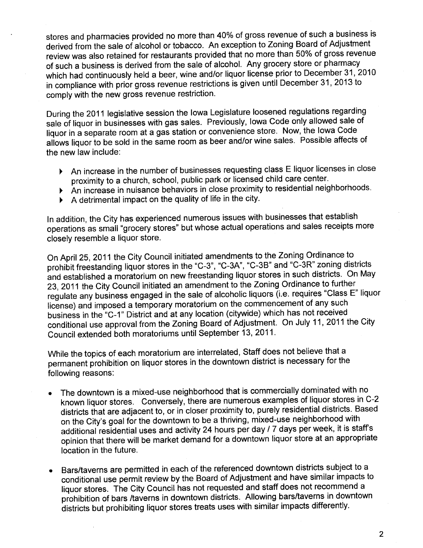stores and pharmacies provided no more than 40% of gross revenue of such a business is derived from the sale of alcohol or tobacco. An exception to Zoning Board of Adjustment review was also retained for restaurants provided that no more than 50% of gross revenue of such a business is derived from the sale of alcohoL. Any grocery store or pharmacy which had continuously held a beer, wine and/or liquor license prior to December 31, 2010 in compliance with prior gross revenue restrictions is given until December 31,2013 to comply with the new gross revenue restriction.

During the 2011 legislative session the Iowa Legislature loosened regulations regarding sale of liquor in businesses with gas sales. Previously, Iowa Code only allowed sale of liquor in a separate room at a gas station or convenience store. Now, the Iowa Code allows liquor to be sold in the same room as beer and/or wine sales. Possible affects of the new law include:

- ~ An increase in the number of businesses requesting class E liquor licenses in close proximity to a church, school, public park or licensed child care center.
- ~ An increase in nuisance behaviors in close proximity to residential neighborhoods.
- $\blacktriangleright$  A detrimental impact on the quality of life in the city.

In addition, the City has experienced numerous issues with businesses that establish operations as small "grocery stores" but whose actual operations and sales receipts more closely resemble a liquor store.

On April 25, 2011 the City Council initiated amendments to the Zoning Ordinance to prohibit freestanding liquor stores in the "C-3", "C-3A", "C-3B" and "C-3R" zoning districts and established a moratorium on new freestanding liquor stores in such districts. On May 23, 2011 the City Council initiated an amendment to the Zoning Ordinance to further regulate any business engaged in the sale of alcoholic liquors (i.e. requires "Class E" liquor license) and imposed a temporary moratorium on the commencement of any such business in the "C-1" District and at any location (citywide) which has not received conditional use approval from the Zoning Board of Adjustment. On July 11, 2011 the City Council extended both moratoriums until September 13, 2011.

While the topics of each moratorium are interrelated, Staff does not believe that a permanent prohibition on liquor stores in the downtown district is necessary for the following reasons:

- . The downtown is a mixed-use neighborhood that is commercially dominated with no known liquor stores. Conversely, there are numerous examples of liquor stores in C-2 districts that are adjacent to, or in closer proximity to, purely residential districts. Based on the City's goal for the downtown to be a thriving, mixed-use neighborhood with additional residential uses and activity 24 hours per day / 7 days per week, it is staff's opinion that there will be market demand for a downtown liquor store at an appropriate location in the future.
- . Bars/taverns are permitted in each of the referenced downtown districts subject to a conditional use permit review by the Board of Adjustment and have similar impacts to liquor stores. The City Council has not requested and staff does not recommend a prohibition of bars /taverns in downtown districts. Allowing bars/taverns in downtown districts but prohibiting liquor stores treats uses with similar impacts differently.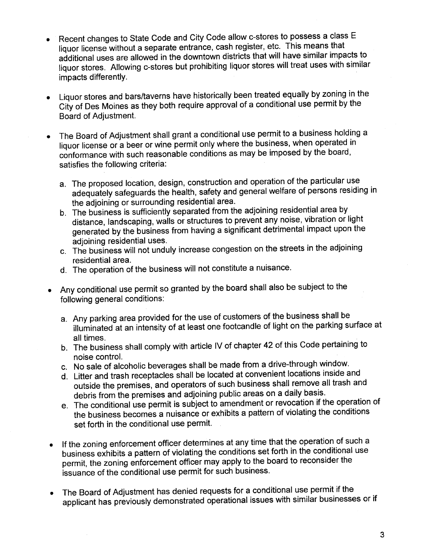- . Recent changes to State Code and City Code allow c-stores to possess a class E liquor license without a separate entrance, cash register, etc. This means that additional uses are allowed in the downtown districts that wil have similar impacts to liquor stores. Allowing c-stores but prohibiting liquor stores will treat uses with similar impacts differently.
- . Liquor stores and bars/taverns have historically been treated equally by zoning in the City of Des Moines as they both require approval of a conditional use permit by the Board of Adjustment.
- . The Board of Adjustment shall grant a conditional use permit to a business holding a liquor license or a beer or wine permit only where the business, when operated in conformance with such reasonable conditions as may be imposed by the board, satisfies the following criteria:
	- a. The proposed location, design, construction and operation of the particular use adequately safeguards the health, safety and general welfare of persons residing in the adjoining or surrounding residential area.
	- b. The business is sufficiently separated from the adjoining residential area by distance, landscaping, walls or structures to prevent any noise, vibration or light generated by the business from having a significant detrimental impact upon the adioining residential uses.
	- c. The business will not unduly increase congestion on the streets in the adjoining residential area.
	- d. The operation of the business will not constitute a nuisance.
- . Any conditional use permit so granted by the board shall also be subject to the following general conditions:
	- a. Any parking area provided for the use of customers of the business shall be illuminated at an intensity of at least one footcandle of light on the parking surface at all times.
	- b. The business shall comply with article iV of chapter 42 of this Code pertaining to noise control.
	- c. No sale of alcoholic beverages shall be made from a drive-through window.
	- d. Litter and trash receptacles shall be located at convenient locations inside and outside the premises, and operators of such business shall remove all trash and debris from the premises and adjoining public areas on a daily basis.
	- e. The conditional use permit is subject to amendment or revocation if the operation of the business becomes a nuisance or exhibits a pattern of violating the conditions set forth in the conditional use permit.
- . If the zoning enforcement officer determines at any time that the operation of such a business exhibits a pattern of violating the conditions set forth in the conditional use permit, the zoning enforcement officer may apply to the board to reconsider the issuance of the conditional use permit for such business.
- . The Board of Adjustment has denied requests for a conditional use permit if the applicant has previously demonstrated operational issues with similar businesses or if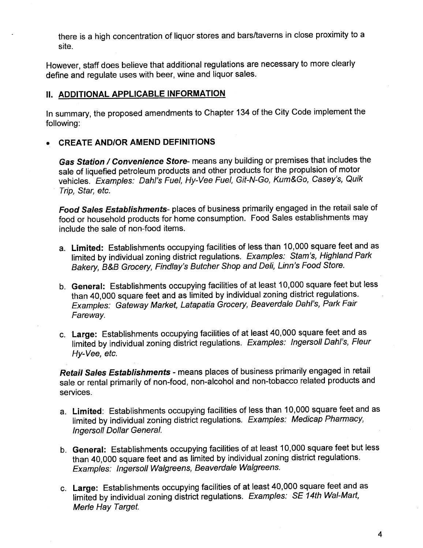there is a high concentration of liquor stores and bars/taverns in close proximity to a site.

However, staff does believe that additional regulations are necessary to more clearly define and regulate uses with beer, wine and liquor sales.

## **II. ADDITIONAL APPLICABLE INFORMATION**

In summary, the proposed amendments to Chapter 134 of the City Code implement the following:

## . CREATE ANDIOR AMEND DEFINITIONS

Gas Station / Convenience Store- means any building or premises that includes the sale of liquefied petroleum products and other products for the propulsion of motor vehicles. Examples: Dahl's Fuel, Hy-Vee Fuel, Git-N-Go, Kum&Go, Casey's, Quik Trip, Star, etc.

Food Sales Establishments- places of business primarily engaged in the retail sale of food or household products for home consumption. Food Sales establishments may include the sale of non-food items.

- a. Limited: Establishments occupying facilities of less than 10,000 square feet and as limited by individual zoning district regulations. Examples: Stam's, Highland Park Bakery, B&B Grocery, Findlay's Butcher Shop and Deli, Linn's Food Store.
- b. General: Establishments occupying facilities of at least 10,000 square feet but less than 40,000 square feet and as limited by individual zoning district regulations. Examples: Gateway Market, Latapatia Grocery, Beaverdale Dahl's, Park Fair Fareway.
- c. Large: Establishments occupying facilities of at least 40,000 square feet and as limited by individual zoning district regulations. Examples: Ingersoll Dahl's, Fleur Hy- Vee, etc.

Retail Sales Establishments - means places of business primarily engaged in retail sale or rental primarily of non-food, non-alcohol and non-tobacco related products and services.

- a. Limited: Establishments occupying facilities of less than 10,000 square feet and as limited by individual zoning district regulations. Examples: Medicap Pharmacy, Ingersoll Dollar General.
- b. General: Establishments occupying facilities of at least 10,000 square feet but less than 40,000 square feet and as limited by individual zoning district regulations. Examples: Ingersoll Walgreens, Beaverdale Walgreens.
- c. Large: Establishments occupying facilities of at least 40,000 square feet and as limited by individual zoning district regulations. Examples: SE 14th Wal-Marl, Merle Hay Target.

4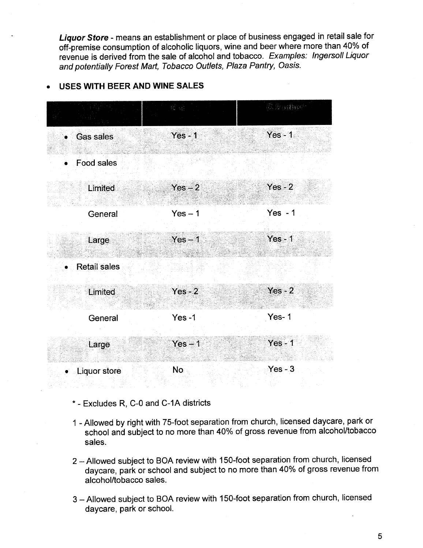Liquor Store - means an establishment or place of business engaged in retail sale for off-premise consumption of alcoholic liquors, wine and beer where more than 40% of revenue is derived from the sale of alcohol and tobacco. Examples: Ingersoll Liquor and potentially Forest Mart, Tobacco Outlets, Plaza Pantry, Oasis.

## . USES WITH BEER AND WINE SALES



- \* Excludes R, C-O and C-1A districts
- 1 Allowed by right with 75-foot separation from church, licensed daycare, park or school and subject to no more than 40% of gross revenue from alcohol/tobacco sales.
- 2 Allowed subject to BOA review with 150-foot separation from church, licensed daycare, park or school and subject to no more than 40% of gross revenue from alcohol/tobacco sales.
- 3 Allowed subject to BOA review with 150-foot separation from church, licensed daycare, park or school.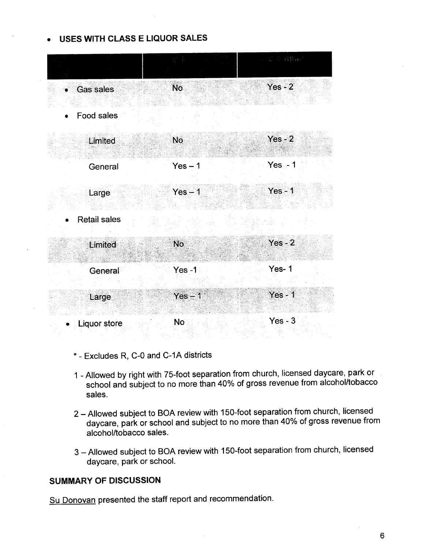## . USES WITH CLASS E LIQUOR SALES

|                         |           | 4. 2015 84200 |
|-------------------------|-----------|---------------|
| <b>Gas sales</b>        | <b>No</b> | $Yes - 2$     |
| Food sales<br>$\bullet$ |           |               |
| Limited                 | <b>No</b> | $Yes - 2$     |
| General                 | $Yes - 1$ | $Yes - 1$     |
| Large                   | $Yes - 1$ | $Yes - 1$     |
| <b>Retail sales</b>     |           |               |
| Limited                 | <b>No</b> | $Yes - 2$     |
| General                 | $Yes -1$  | Yes-1         |
| Large                   | $Yes - 1$ | $Yes - 1$     |
| <b>Liquor store</b>     | No        | $Yes - 3$     |

- \* Excludes R, C-O and C-1A districts
- 1 Allowed by right with 75-foot separation from church, licensed daycare, park or school and subject to no more than 40% of gross revenue from alcohol/tobacco sales.
- 2 Allowed subject to BOA review with 150-foot separation from church, licensed daycare, park or school and subject to no more than 40% of gross revenue from alcohol/tobacco sales.
- 3 Allowed subject to BOA review with 150-foot separation from church, licensed daycare, park or schooL.

## SUMMARY OF DISCUSSION

Su Donovan presented the staff report and recommendation.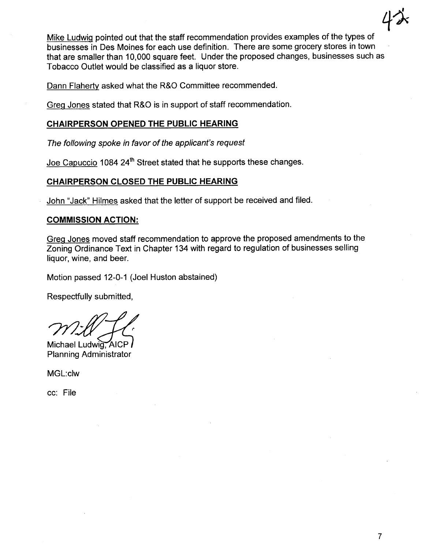$4\lambda$ Mike Ludwiq pointed out that the staff recommendation provides examples of the types of businesses in Des Moines for each use definition. There are some grocery stores in town that are smaller than 10,000 square feet. Under the proposed changes, businesses such as Tobacco Outlet would be classified as a liquor store.

Dann Flahertv asked what the R&O Committee recommended.

Greq Jones stated that R&O is in support of staff recommendation.

## CHAIRPERSON OPENED THE PUBLIC HEARING

The following spoke in favor of the applicant's request

Joe Capuccio 1084 24<sup>th</sup> Street stated that he supports these changes.

## CHAIRPERSON CLOSED THE PUBLIC HEARING

John "Jack" Hilmes asked that the letter of support be received and filed.

## COMMISSION ACTION:

Greq Jones moved staff recommendation to approve the proposed amendments to the Zoning Ordinance Text in Chapter 134 with regard to regulation of businesses selling liquor, wine, and beer.

Motion passed 12-0-1 (Joel Huston abstained)

Respectfully submitted,

Michael Ludwig, AICP Planning Administrator

MGL:clw

cc: File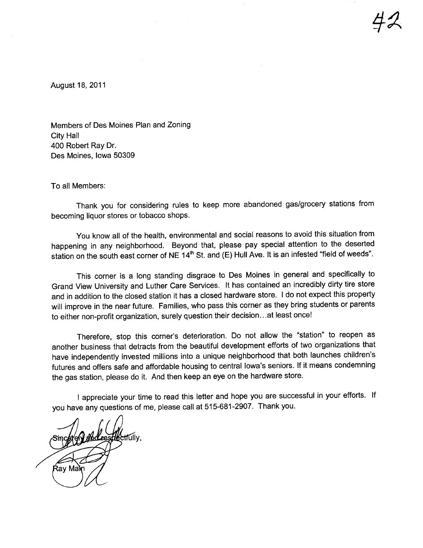$42$ 

August 18, 2011

Members of Des Moines Plan and Zoning City Hall 400 Robert Ray Dr. Des Moines, Iowa 50309

To all Members:

Thank you for considering rules to keep more abandoned gas/grocery stations from becoming liquor stores or tobacco shops.

You know all of the health, environmental and social reasons to avoid this situation from happening in any neighborhood. Beyond that, please pay special attention to the deserted station on the south east corner of NE 14<sup>th</sup> St. and (E) Hull Ave. It is an infested "field of weeds".

This corner is a long standing disgrace to Des Moines in general and specifically to Grand View University and Luther Care Services. It has contained an incredibly dirty tire store and in addition to the closed station it has a closed hardware store. I do not expect this property will improve in the near future. Families, who pass this corner as they bring students or parents to either non-profit organization, surely question their decision.. .at least once!

Therefore, stop this corner's deterioration. Do not allow the "station" to reopen as another business that detracts from the beautiful development efforts of two organizations that have independently invested millions into a unique neighborhood that both launches children's futures and offers safe and affordable housing to central Iowa's seniors. If it means condemning the gas station, please do it. And then keep an eye on the hardware store.

I appreciate your time to read this letter and hope you are successful in your efforts. If you have any questions of me, please call at 515-681-2907. Thank you.

:tfúllv Ray Mam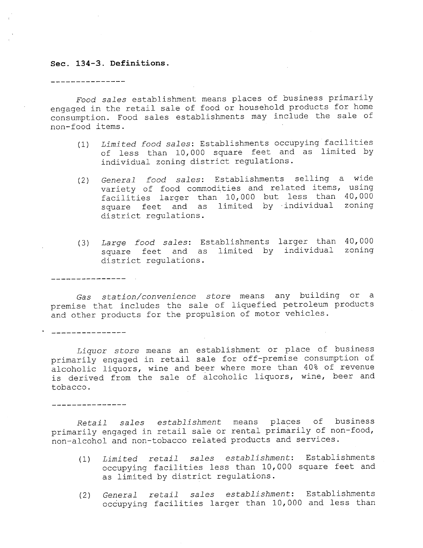#### Sec. 134-3. Definitions.

\_\_\_\_\_\_\_\_\_\_\_\_\_\_\_\_

\_\_\_\_\_\_\_\_\_\_\_\_\_\_\_

, <u>. . . . . . . . . . . . . . .</u> .

\_\_\_\_\_\_\_\_\_\_\_\_\_\_\_

Food sales establishment means places of business primarily engaged in the retail sale of food or household products for home consumption. Food sales establishments may include the sale of non-food items.

- (1) Limi ted food sales: Establishments occupying facilities of less than 10, 000 square feet and as limited by individual zoning district regulations.
- (2) General food sales: Establishments selling a wide variety of food commodities and related items, using facilities larger than 10,000 but less than 40,000<br>square feet and as limited by individual zoning district regulations. facilities larger than 10,000 but less than 40,000
- (3) *Large food sales*: Establishments larger than 40,000<br>square feet and as limited by individual zoning district regulations. larger than 40,000

Gas station/convenience store means any building or a premise that includes the sale of liquefied petroleum products and other products for the propulsion of motor vehicles.

Liquor store means an establishment or place of business primarily engaged in retail sale for off-premise consumption of alcoholic liquors, wine and beer where more than 40% of revenue is derived from the sale of alcoholic liquors, wine, beer and tobacco.

Retail sales establishment means places of business primarily engaged in retail sale or rental primarily of non-food, non-alcohol and non-tobacco related products and services.

- (1) Limited retail sales establishment: Establishments occupying facilities less than 10, 000 square feet and as limited by district regulations.
- (2) General retail sales establishment: Establishments occupying facilities larger than 10, 000 and less than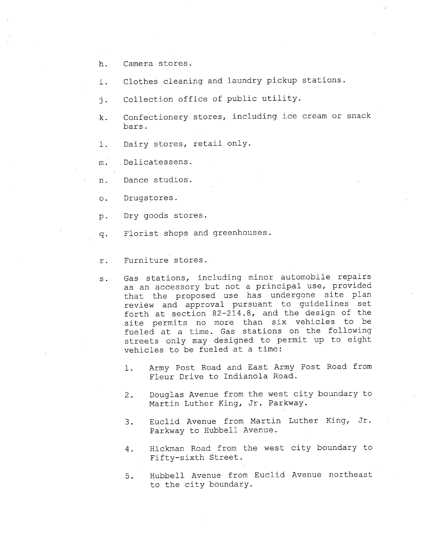- h. Camera stores.
- i. Clothes cleaning and laundry pickup stations.
- j. Collection office of public utility.
- k. Confectionery stores, including ice cream or snack bars.
- i. Dairy stores, retail only.
- m. Delicatessens.
- n. Dance studios.
- o. Drugstores.
- p. Dry goods stores.
- q. Florist shops and greenhouses.
- r. Furniture stores.
- s. Gas stations, including minor automobile repairs as an accessory but not a principal use, provided that the proposed use has undergone site plan review and approval pursuant to guidelines set<br>forth at section 82-214.8, and the design of the site permits no more than six vehicles to be fueled at a time. Gas stations on the following streets only may designed to permit up to eight vehicles to be fueled at a time:
	- 1. Army Post Road and East Army Post Road from Fleur Drive to Indianola Road.
	- 2. Douglas Avenue from the west city boundary to Martin Luther King, Jr. Parkway.
	- 3. Euclid Avenue from Martin Luther King, Jr. Parkway to Hubbell Avenue.
	- 4. Hickman Road from the west city boundary to Fifty-sixth Street.
	- 5. Hubbell Avenue from Euclid Avenue northeast to the city boundary.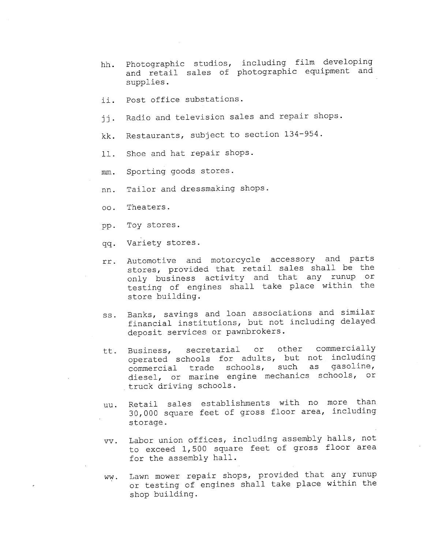- hh. Photographic studios, including film developing and retail sales of photographic equipment and supplies.
- ii. Post office substations.
- ii. Radio and television sales and repair shops.
- kk. Restaurants, subject to section 134-954.
- 11. Shoe and hat repair shops.
- mm. Sporting goods stores.
- nn. Tailor and dressmaking shops.
- 00. Theaters.
- pp. Toy stores.
- qq. Variety stores.
- rr. Automotive and motorcycle accessory and parts stores, provided that retail sales shall be the only business activity and that any runup or testing of engines shall take place within the store building.
- ss. Banks, savings and loan associations and similar financial institutions, but not including delayed deposit services or pawnbrokers.
- tt. Business, secretarial or other commercially operated schools for adults, but not including commercial trade schools, such as gasoline, diesel, or marine engine mechanics schools, or truck driving schools.
- uu. Retail sales establishments with no more than 30,000 square feet of gross floor area, incl uding storage.
- vv. Labor union offices, including assembly halls, not to exceed 1,500 square feet of gross floor area for the assembly hall.
- ww. Lawn mower repair shops, provided that any runup or testing of engines shall take place within the shop building.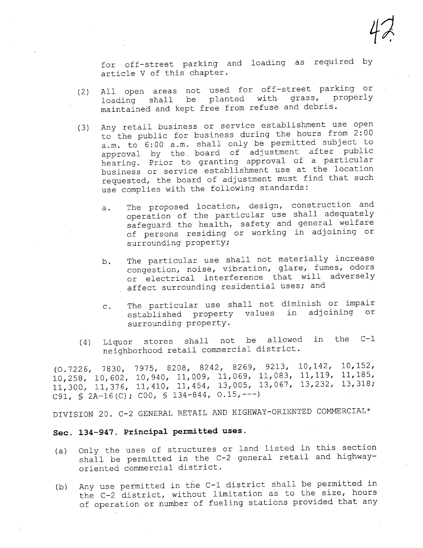4?

for off-street parking and loading as required by article V of this chapter.

- (2) All open areas not used for off-street parking or<br>loading shall be planted with grass, properly loading shall be planted with maintained and kept free from refuse and debris.
- (3) Any retail business or service establishment use open to the public for business during the hours from  $2:00$  a.m. to  $6:00$  a.m. shall only be permitted subject to approval by the board of adjustment after public<br>hearing. Prior to granting approval of a particular business or service establishment use at the location requested, the board of adjustment must find that such use complies with the following standards:
	- a. The proposed location, design, construction and operation of the particular use shall adequately safeguard the health, safety and general welfare of persons residing or working in adjoining or surrounding property;
	- b. The particular use shall not materially increase congestion, noise, vibration, glare, fumes, odors or electrical interference that will adversely affect surrounding residential uses; and
	- c. The particular use shall not diminish or impair established property values in adjoining or surrounding property.
- $(4)$  Liquor stores shall not be allowed in the C-1 neighborhood retail commercial district.

(0.7226, 7830, 7975, 8208, 8242, 8269, 9213, 10,142, 10,152, 10,258, 10,602, 10,940, 11,009, 11,069, 11,083, 11,119, 11,185, 11,300, 11,376, 11,410, 11,454, 13,005, 13,067, 13,232, 13,318; C91, §2A-16(C); COO, § 134-844, 0.15,---)

DIVISION 20. C-2 GENERAL RETAIL AND HIGHWAY-ORIENTED COMMERCIAL\*

## Sec. 134-947. Principal permitted uses.

- (a) Only the uses of structures or land listed in this section shall be permitted in the C-2 general retail and highwayoriented commercial district.
- (b) Any use permitted in the C-1 district shall be permitted in the C-2 district, without limitation as to the size, hours of operation or number of fueling stations provided that any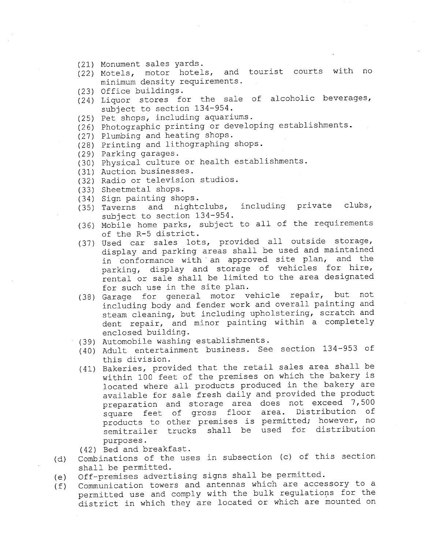- (21) Monument sales yards.
- (22) Motels, motor hotels, and tourist courts with no minimum density requirements.
- (23) Office buildings.
- (24) Liquor stores for the sale of alcoholic beverages, subject to section 134-954.
- (25) Pet shops, including aquariums.
- (26) Photographic printing or developing establishments.
- (27) Plumbing and heating shops.
- (28) Printing and lithographing shops.
- (29) Parking garages.
- (30) Physical culture or health establishments.
- (31) Auction businesses.
- (32) Radio or television studios.
- 
- (33) Sheetmetal shops.<br>(34) Sign painting shops.
- $(35)$  Taverns and nightclubs, including private clubs, subject to section 134-954.
- (36) Mobile home parks, subject to all of the requirements of the R-5 district.
- (37) Used car sales lots, provided all outside storage, display and parking areas shall be used and maintained<br>in conformance with an approved site plan, and the parking, display and storage of vehicles for hire, rental or sale shall be limited to the area designated for such use in the site plan.
- (38) Garage for general motor vehicle repair, but not including body and fender work and overall painting and steam cleaning, but including upholstering, scratch and dent repair, and minor painting within a completely enclosed building.
- (39) Automobile washing establishments.
- (40) Adult entertainment business. See section 134-953 of this division.
- (41) Bakeries, provided that the retail sales area shall be within 100 feet of the premises on which the bakery is located where all products produced in the bakery are available for sale fresh daily and provided the product<br>preparation and storage area does not exceed 7,500 square feet of gross floor area. Distribution of products to other premises is permitted; however, no semitrailer trucks shall be used for distribution purposes.

(42) Bed and breakfast.

- (d) Combinations of the uses in subsection (c) of this section shall be permitted.
- (e) Off-premises advertising signs shall be permitted.
- (f) Communication towers and antennas which are accessory to a permitted use and comply with the bulk regulations for the district in which they are located or which are mounted on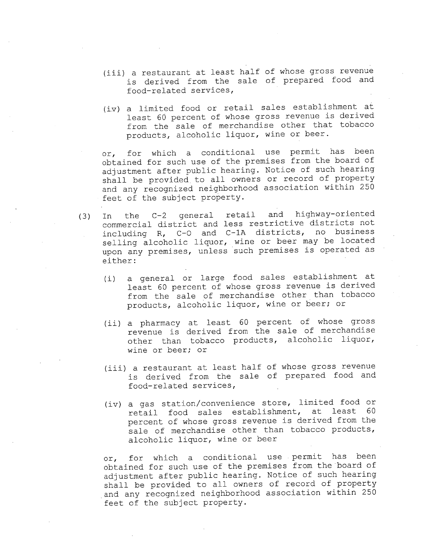- (iii) a restaurant at least half of whose gross revenue is derived from the sale of prepared food and food-related services,
- (iv) a limited food or retail sales establishment at least 60 percent of whose gross revenue is derived from the sale of merchandise other that tobacco products, alcoholic liquor, wine or beer.

or, for which a conditional use permit has been obtained for such use of the premises from the board of adjustment after public hearing. Notice of such hearing shall be provided to all owners or record of property and any recognized neighborhood association within 250 feet of the subject property.

- (3) In the C-2 general retail and highway-oriented commercial district and less restrictive districts not including R, C-Q and C-IA districts, no business selling alcoholic liquor, wine or beer may be located upon any premises, unless such premises is operated as either:
	- (i) a general or large food sales establishment at least 60 percent of whose gross revenue is derived from the sale of merchandise other than tobacco products, alcoholic liquor, wine or beer; or
	- (ii) a pharmacy at least 60 percent of whose gross revenue is derived from the sale of merchandise other than tobacco products, alcoholic liquor, wine or beer; or
	- (iii) a restaurant at least half of whose gross revenue is derived from the sale of prepared food and food-related services,
	- (iv) a gas station/convenience store, limited food or retail food sales establishment, at least 60 percent of whose gross revenue is derived from the sale of merchandise other than tobacco products, alcoholic liquor, wine or beer

or, for which a conditional use. permit has been obtained for such use of the premises from the board of adjustment after public hearing. Notice of such hearing shall be provided to all owners of record of property ,and any recognized neighborhood association within 250 feet of the subject property.